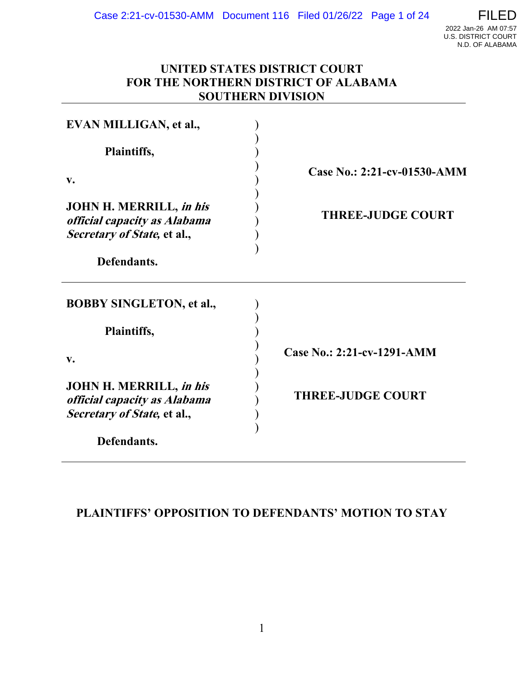

## **UNITED STATES DISTRICT COURT FOR THE NORTHERN DISTRICT OF ALABAMA SOUTHERN DIVISION**

| EVAN MILLIGAN, et al.,                                                                        |                             |
|-----------------------------------------------------------------------------------------------|-----------------------------|
| Plaintiffs,                                                                                   |                             |
| $\mathbf{v}$ .                                                                                | Case No.: 2:21-cv-01530-AMM |
| <b>JOHN H. MERRILL, in his</b><br>official capacity as Alabama<br>Secretary of State, et al., | <b>THREE-JUDGE COURT</b>    |
| Defendants.                                                                                   |                             |
| <b>BOBBY SINGLETON, et al.,</b>                                                               |                             |
| Plaintiffs,                                                                                   |                             |
| $V_{\bullet}$                                                                                 | Case No.: 2:21-cv-1291-AMM  |
| <b>JOHN H. MERRILL, in his</b><br>official capacity as Alabama<br>Secretary of State, et al., | <b>THREE-JUDGE COURT</b>    |
| Defendants.                                                                                   |                             |

## **PLAINTIFFS' OPPOSITION TO DEFENDANTS' MOTION TO STAY**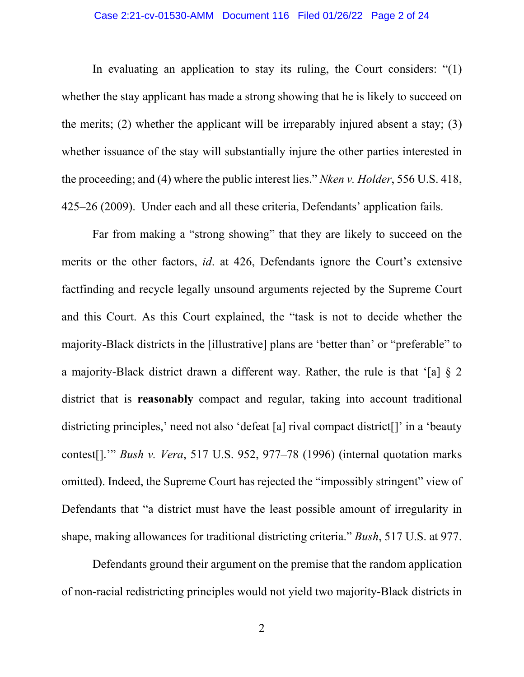### Case 2:21-cv-01530-AMM Document 116 Filed 01/26/22 Page 2 of 24

In evaluating an application to stay its ruling, the Court considers: "(1) whether the stay applicant has made a strong showing that he is likely to succeed on the merits; (2) whether the applicant will be irreparably injured absent a stay; (3) whether issuance of the stay will substantially injure the other parties interested in the proceeding; and (4) where the public interest lies." *Nken v. Holder*, 556 U.S. 418, 425–26 (2009). Under each and all these criteria, Defendants' application fails.

Far from making a "strong showing" that they are likely to succeed on the merits or the other factors, *id*. at 426, Defendants ignore the Court's extensive factfinding and recycle legally unsound arguments rejected by the Supreme Court and this Court. As this Court explained, the "task is not to decide whether the majority-Black districts in the [illustrative] plans are 'better than' or "preferable" to a majority-Black district drawn a different way. Rather, the rule is that '[a] § 2 district that is **reasonably** compact and regular, taking into account traditional districting principles,' need not also 'defeat [a] rival compact district<sup>[]</sup>' in a 'beauty contest[].'" *Bush v. Vera*, 517 U.S. 952, 977–78 (1996) (internal quotation marks omitted). Indeed, the Supreme Court has rejected the "impossibly stringent" view of Defendants that "a district must have the least possible amount of irregularity in shape, making allowances for traditional districting criteria." *Bush*, 517 U.S. at 977.

Defendants ground their argument on the premise that the random application of non-racial redistricting principles would not yield two majority-Black districts in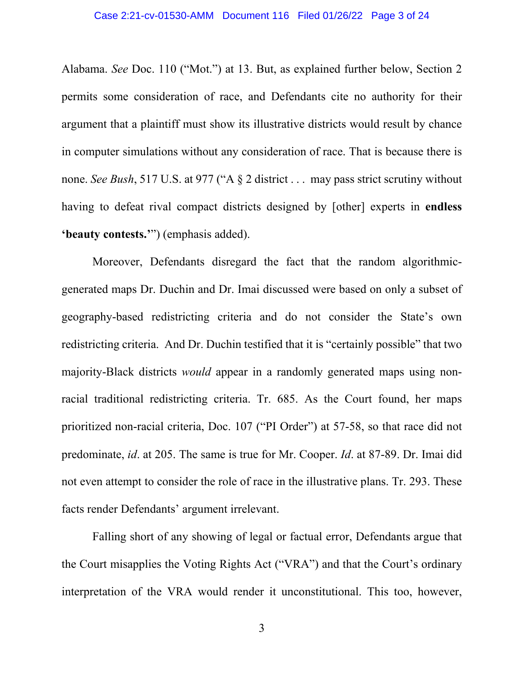Alabama. *See* Doc. 110 ("Mot.") at 13. But, as explained further below, Section 2 permits some consideration of race, and Defendants cite no authority for their argument that a plaintiff must show its illustrative districts would result by chance in computer simulations without any consideration of race. That is because there is none. *See Bush*, 517 U.S. at 977 ("A § 2 district . . . may pass strict scrutiny without having to defeat rival compact districts designed by [other] experts in **endless 'beauty contests.'**") (emphasis added).

Moreover, Defendants disregard the fact that the random algorithmicgenerated maps Dr. Duchin and Dr. Imai discussed were based on only a subset of geography-based redistricting criteria and do not consider the State's own redistricting criteria. And Dr. Duchin testified that it is "certainly possible" that two majority-Black districts *would* appear in a randomly generated maps using nonracial traditional redistricting criteria. Tr. 685. As the Court found, her maps prioritized non-racial criteria, Doc. 107 ("PI Order") at 57-58, so that race did not predominate, *id*. at 205. The same is true for Mr. Cooper. *Id*. at 87-89. Dr. Imai did not even attempt to consider the role of race in the illustrative plans. Tr. 293. These facts render Defendants' argument irrelevant.

Falling short of any showing of legal or factual error, Defendants argue that the Court misapplies the Voting Rights Act ("VRA") and that the Court's ordinary interpretation of the VRA would render it unconstitutional. This too, however,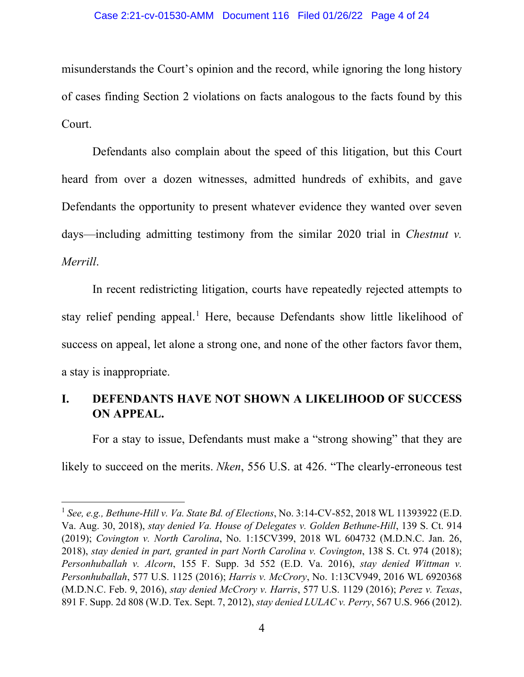### Case 2:21-cv-01530-AMM Document 116 Filed 01/26/22 Page 4 of 24

misunderstands the Court's opinion and the record, while ignoring the long history of cases finding Section 2 violations on facts analogous to the facts found by this Court.

Defendants also complain about the speed of this litigation, but this Court heard from over a dozen witnesses, admitted hundreds of exhibits, and gave Defendants the opportunity to present whatever evidence they wanted over seven days—including admitting testimony from the similar 2020 trial in *Chestnut v. Merrill*.

In recent redistricting litigation, courts have repeatedly rejected attempts to stay relief pending appeal.<sup>1</sup> Here, because Defendants show little likelihood of success on appeal, let alone a strong one, and none of the other factors favor them, a stay is inappropriate.

# **I. DEFENDANTS HAVE NOT SHOWN A LIKELIHOOD OF SUCCESS ON APPEAL.**

For a stay to issue, Defendants must make a "strong showing" that they are likely to succeed on the merits. *Nken*, 556 U.S. at 426. "The clearly-erroneous test

<sup>1</sup> *See, e.g., Bethune-Hill v. Va. State Bd. of Elections*, No. 3:14-CV-852, 2018 WL 11393922 (E.D. Va. Aug. 30, 2018), *stay denied Va. House of Delegates v. Golden Bethune-Hill*, 139 S. Ct. 914 (2019); *Covington v. North Carolina*, No. 1:15CV399, 2018 WL 604732 (M.D.N.C. Jan. 26, 2018), *stay denied in part, granted in part North Carolina v. Covington*, 138 S. Ct. 974 (2018); *Personhuballah v. Alcorn*, 155 F. Supp. 3d 552 (E.D. Va. 2016), *stay denied Wittman v. Personhuballah*, 577 U.S. 1125 (2016); *Harris v. McCrory*, No. 1:13CV949, 2016 WL 6920368 (M.D.N.C. Feb. 9, 2016), *stay denied McCrory v. Harris*, 577 U.S. 1129 (2016); *Perez v. Texas*, 891 F. Supp. 2d 808 (W.D. Tex. Sept. 7, 2012), *stay denied LULAC v. Perry*, 567 U.S. 966 (2012).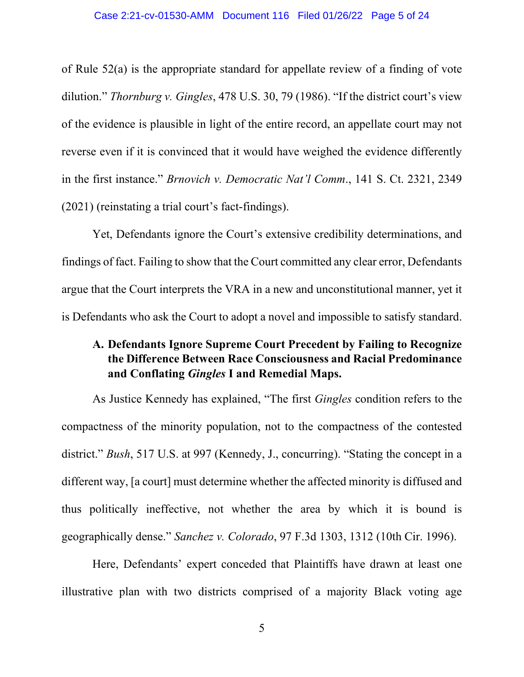of Rule 52(a) is the appropriate standard for appellate review of a finding of vote dilution." *Thornburg v. Gingles*, 478 U.S. 30, 79 (1986). "If the district court's view of the evidence is plausible in light of the entire record, an appellate court may not reverse even if it is convinced that it would have weighed the evidence differently in the first instance." *Brnovich v. Democratic Nat'l Comm*., 141 S. Ct. 2321, 2349 (2021) (reinstating a trial court's fact-findings).

Yet, Defendants ignore the Court's extensive credibility determinations, and findings of fact. Failing to show that the Court committed any clear error, Defendants argue that the Court interprets the VRA in a new and unconstitutional manner, yet it is Defendants who ask the Court to adopt a novel and impossible to satisfy standard.

# **A. Defendants Ignore Supreme Court Precedent by Failing to Recognize the Difference Between Race Consciousness and Racial Predominance and Conflating** *Gingles* **I and Remedial Maps.**

As Justice Kennedy has explained, "The first *Gingles* condition refers to the compactness of the minority population, not to the compactness of the contested district." *Bush*, 517 U.S. at 997 (Kennedy, J., concurring). "Stating the concept in a different way, [a court] must determine whether the affected minority is diffused and thus politically ineffective, not whether the area by which it is bound is geographically dense." *Sanchez v. Colorado*, 97 F.3d 1303, 1312 (10th Cir. 1996).

Here, Defendants' expert conceded that Plaintiffs have drawn at least one illustrative plan with two districts comprised of a majority Black voting age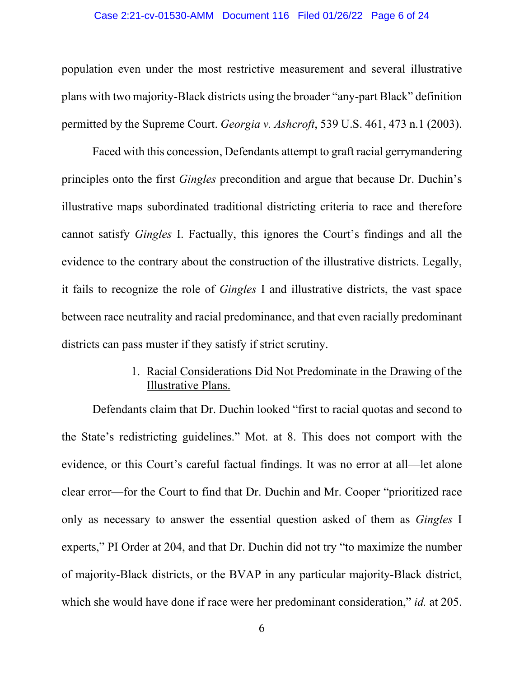### Case 2:21-cv-01530-AMM Document 116 Filed 01/26/22 Page 6 of 24

population even under the most restrictive measurement and several illustrative plans with two majority-Black districts using the broader "any-part Black" definition permitted by the Supreme Court. *Georgia v. Ashcroft*, 539 U.S. 461, 473 n.1 (2003).

Faced with this concession, Defendants attempt to graft racial gerrymandering principles onto the first *Gingles* precondition and argue that because Dr. Duchin's illustrative maps subordinated traditional districting criteria to race and therefore cannot satisfy *Gingles* I. Factually, this ignores the Court's findings and all the evidence to the contrary about the construction of the illustrative districts. Legally, it fails to recognize the role of *Gingles* I and illustrative districts, the vast space between race neutrality and racial predominance, and that even racially predominant districts can pass muster if they satisfy if strict scrutiny.

## 1. Racial Considerations Did Not Predominate in the Drawing of the Illustrative Plans.

Defendants claim that Dr. Duchin looked "first to racial quotas and second to the State's redistricting guidelines." Mot. at 8. This does not comport with the evidence, or this Court's careful factual findings. It was no error at all—let alone clear error—for the Court to find that Dr. Duchin and Mr. Cooper "prioritized race only as necessary to answer the essential question asked of them as *Gingles* I experts," PI Order at 204, and that Dr. Duchin did not try "to maximize the number of majority-Black districts, or the BVAP in any particular majority-Black district, which she would have done if race were her predominant consideration," *id.* at 205.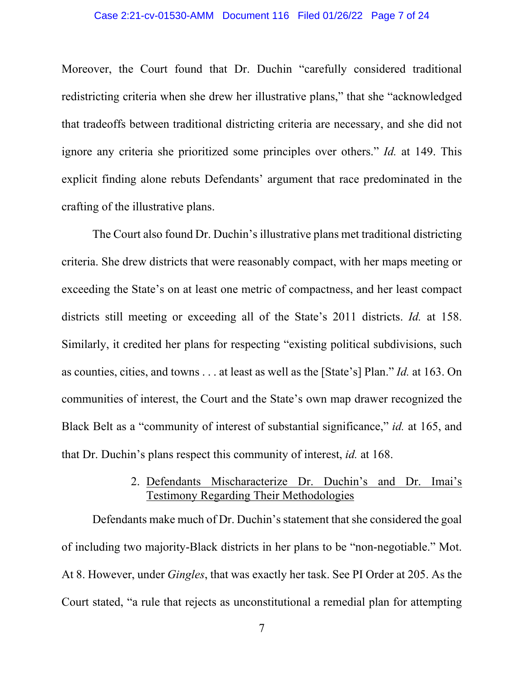Moreover, the Court found that Dr. Duchin "carefully considered traditional redistricting criteria when she drew her illustrative plans," that she "acknowledged that tradeoffs between traditional districting criteria are necessary, and she did not ignore any criteria she prioritized some principles over others." *Id.* at 149. This explicit finding alone rebuts Defendants' argument that race predominated in the crafting of the illustrative plans.

The Court also found Dr. Duchin's illustrative plans met traditional districting criteria. She drew districts that were reasonably compact, with her maps meeting or exceeding the State's on at least one metric of compactness, and her least compact districts still meeting or exceeding all of the State's 2011 districts. *Id.* at 158. Similarly, it credited her plans for respecting "existing political subdivisions, such as counties, cities, and towns . . . at least as well as the [State's] Plan." *Id.* at 163. On communities of interest, the Court and the State's own map drawer recognized the Black Belt as a "community of interest of substantial significance," *id.* at 165, and that Dr. Duchin's plans respect this community of interest, *id.* at 168.

## 2. Defendants Mischaracterize Dr. Duchin's and Dr. Imai's Testimony Regarding Their Methodologies

Defendants make much of Dr. Duchin's statement that she considered the goal of including two majority-Black districts in her plans to be "non-negotiable." Mot. At 8. However, under *Gingles*, that was exactly her task. See PI Order at 205. As the Court stated, "a rule that rejects as unconstitutional a remedial plan for attempting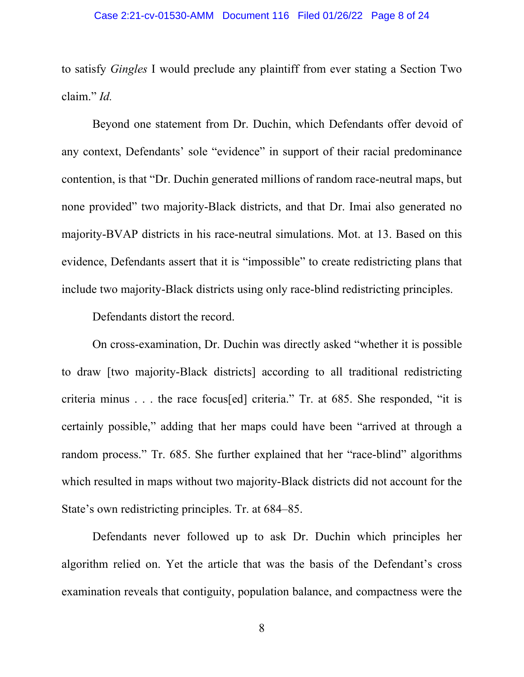to satisfy *Gingles* I would preclude any plaintiff from ever stating a Section Two claim." *Id.*

Beyond one statement from Dr. Duchin, which Defendants offer devoid of any context, Defendants' sole "evidence" in support of their racial predominance contention, is that "Dr. Duchin generated millions of random race-neutral maps, but none provided" two majority-Black districts, and that Dr. Imai also generated no majority-BVAP districts in his race-neutral simulations. Mot. at 13. Based on this evidence, Defendants assert that it is "impossible" to create redistricting plans that include two majority-Black districts using only race-blind redistricting principles.

Defendants distort the record.

On cross-examination, Dr. Duchin was directly asked "whether it is possible to draw [two majority-Black districts] according to all traditional redistricting criteria minus . . . the race focus[ed] criteria." Tr. at 685. She responded, "it is certainly possible," adding that her maps could have been "arrived at through a random process." Tr. 685. She further explained that her "race-blind" algorithms which resulted in maps without two majority-Black districts did not account for the State's own redistricting principles. Tr. at 684–85.

Defendants never followed up to ask Dr. Duchin which principles her algorithm relied on. Yet the article that was the basis of the Defendant's cross examination reveals that contiguity, population balance, and compactness were the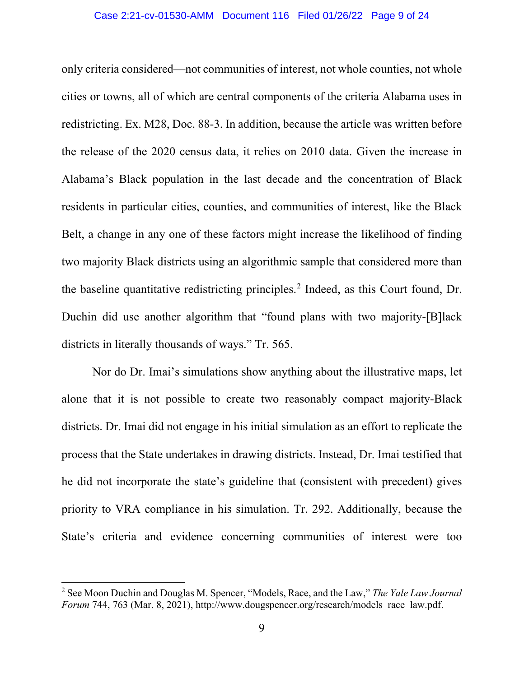only criteria considered—not communities of interest, not whole counties, not whole cities or towns, all of which are central components of the criteria Alabama uses in redistricting. Ex. M28, Doc. 88-3. In addition, because the article was written before the release of the 2020 census data, it relies on 2010 data. Given the increase in Alabama's Black population in the last decade and the concentration of Black residents in particular cities, counties, and communities of interest, like the Black Belt, a change in any one of these factors might increase the likelihood of finding two majority Black districts using an algorithmic sample that considered more than the baseline quantitative redistricting principles. <sup>2</sup> Indeed, as this Court found, Dr. Duchin did use another algorithm that "found plans with two majority-[B]lack districts in literally thousands of ways." Tr. 565.

Nor do Dr. Imai's simulations show anything about the illustrative maps, let alone that it is not possible to create two reasonably compact majority-Black districts. Dr. Imai did not engage in his initial simulation as an effort to replicate the process that the State undertakes in drawing districts. Instead, Dr. Imai testified that he did not incorporate the state's guideline that (consistent with precedent) gives priority to VRA compliance in his simulation. Tr. 292. Additionally, because the State's criteria and evidence concerning communities of interest were too

<sup>2</sup> See Moon Duchin and Douglas M. Spencer, "Models, Race, and the Law," *The Yale Law Journal Forum* 744, 763 (Mar. 8, 2021), http://www.dougspencer.org/research/models\_race\_law.pdf.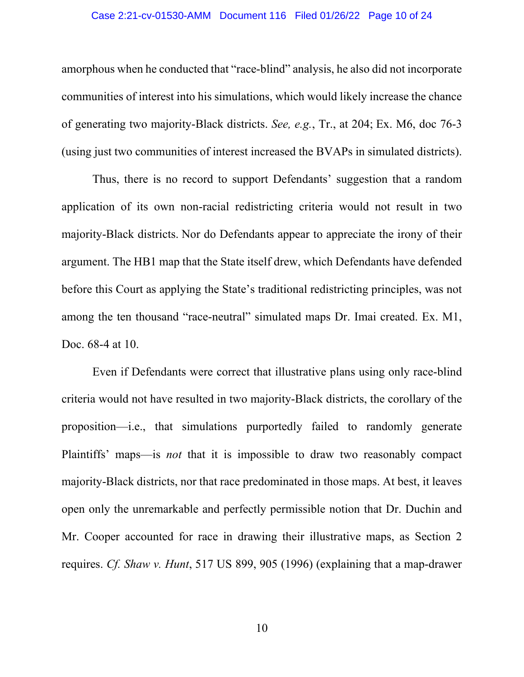### Case 2:21-cv-01530-AMM Document 116 Filed 01/26/22 Page 10 of 24

amorphous when he conducted that "race-blind" analysis, he also did not incorporate communities of interest into his simulations, which would likely increase the chance of generating two majority-Black districts. *See, e.g.*, Tr., at 204; Ex. M6, doc 76-3 (using just two communities of interest increased the BVAPs in simulated districts).

Thus, there is no record to support Defendants' suggestion that a random application of its own non-racial redistricting criteria would not result in two majority-Black districts. Nor do Defendants appear to appreciate the irony of their argument. The HB1 map that the State itself drew, which Defendants have defended before this Court as applying the State's traditional redistricting principles, was not among the ten thousand "race-neutral" simulated maps Dr. Imai created. Ex. M1, Doc. 68-4 at 10.

Even if Defendants were correct that illustrative plans using only race-blind criteria would not have resulted in two majority-Black districts, the corollary of the proposition—i.e., that simulations purportedly failed to randomly generate Plaintiffs' maps—is *not* that it is impossible to draw two reasonably compact majority-Black districts, nor that race predominated in those maps. At best, it leaves open only the unremarkable and perfectly permissible notion that Dr. Duchin and Mr. Cooper accounted for race in drawing their illustrative maps, as Section 2 requires. *Cf. Shaw v. Hunt*, 517 US 899, 905 (1996) (explaining that a map-drawer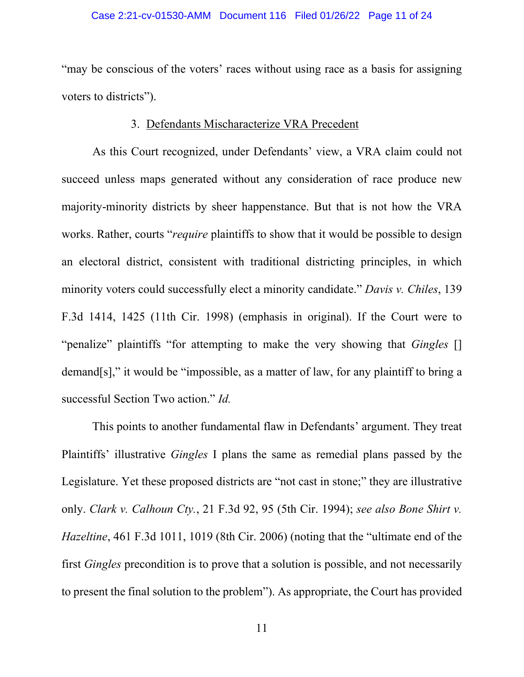#### Case 2:21-cv-01530-AMM Document 116 Filed 01/26/22 Page 11 of 24

"may be conscious of the voters' races without using race as a basis for assigning voters to districts").

## 3. Defendants Mischaracterize VRA Precedent

As this Court recognized, under Defendants' view, a VRA claim could not succeed unless maps generated without any consideration of race produce new majority-minority districts by sheer happenstance. But that is not how the VRA works. Rather, courts "*require* plaintiffs to show that it would be possible to design an electoral district, consistent with traditional districting principles, in which minority voters could successfully elect a minority candidate." *Davis v. Chiles*, 139 F.3d 1414, 1425 (11th Cir. 1998) (emphasis in original). If the Court were to "penalize" plaintiffs "for attempting to make the very showing that *Gingles* [] demand[s]," it would be "impossible, as a matter of law, for any plaintiff to bring a successful Section Two action." *Id.* 

This points to another fundamental flaw in Defendants' argument. They treat Plaintiffs' illustrative *Gingles* I plans the same as remedial plans passed by the Legislature. Yet these proposed districts are "not cast in stone;" they are illustrative only. *Clark v. Calhoun Cty.*, 21 F.3d 92, 95 (5th Cir. 1994); *see also Bone Shirt v. Hazeltine*, 461 F.3d 1011, 1019 (8th Cir. 2006) (noting that the "ultimate end of the first *Gingles* precondition is to prove that a solution is possible, and not necessarily to present the final solution to the problem"). As appropriate, the Court has provided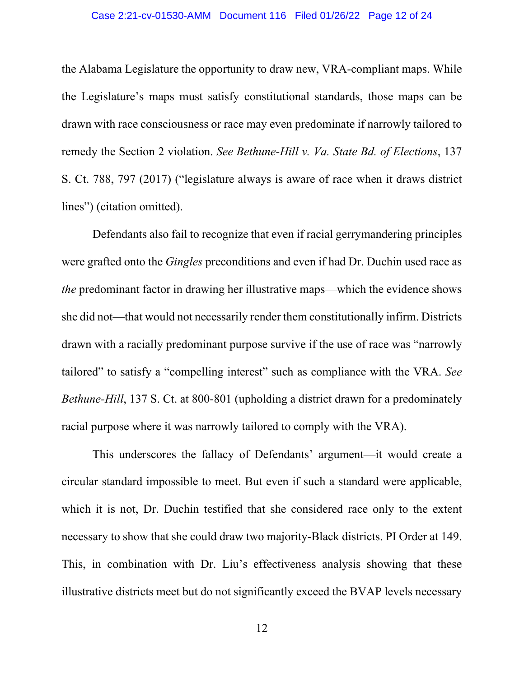#### Case 2:21-cv-01530-AMM Document 116 Filed 01/26/22 Page 12 of 24

the Alabama Legislature the opportunity to draw new, VRA-compliant maps. While the Legislature's maps must satisfy constitutional standards, those maps can be drawn with race consciousness or race may even predominate if narrowly tailored to remedy the Section 2 violation. *See Bethune-Hill v. Va. State Bd. of Elections*, 137 S. Ct. 788, 797 (2017) ("legislature always is aware of race when it draws district lines") (citation omitted).

Defendants also fail to recognize that even if racial gerrymandering principles were grafted onto the *Gingles* preconditions and even if had Dr. Duchin used race as *the* predominant factor in drawing her illustrative maps—which the evidence shows she did not—that would not necessarily render them constitutionally infirm. Districts drawn with a racially predominant purpose survive if the use of race was "narrowly tailored" to satisfy a "compelling interest" such as compliance with the VRA. *See Bethune-Hill*, 137 S. Ct. at 800-801 (upholding a district drawn for a predominately racial purpose where it was narrowly tailored to comply with the VRA).

This underscores the fallacy of Defendants' argument—it would create a circular standard impossible to meet. But even if such a standard were applicable, which it is not, Dr. Duchin testified that she considered race only to the extent necessary to show that she could draw two majority-Black districts. PI Order at 149. This, in combination with Dr. Liu's effectiveness analysis showing that these illustrative districts meet but do not significantly exceed the BVAP levels necessary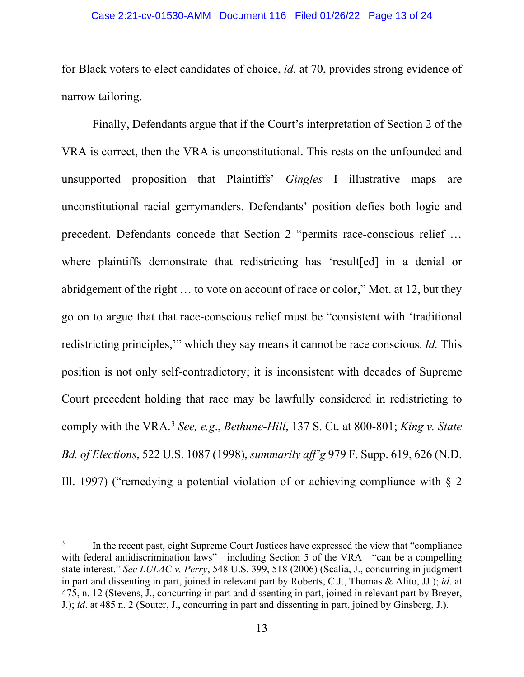#### Case 2:21-cv-01530-AMM Document 116 Filed 01/26/22 Page 13 of 24

for Black voters to elect candidates of choice, *id.* at 70, provides strong evidence of narrow tailoring.

Finally, Defendants argue that if the Court's interpretation of Section 2 of the VRA is correct, then the VRA is unconstitutional. This rests on the unfounded and unsupported proposition that Plaintiffs' *Gingles* I illustrative maps are unconstitutional racial gerrymanders. Defendants' position defies both logic and precedent. Defendants concede that Section 2 "permits race-conscious relief … where plaintiffs demonstrate that redistricting has 'result[ed] in a denial or abridgement of the right … to vote on account of race or color," Mot. at 12, but they go on to argue that that race-conscious relief must be "consistent with 'traditional redistricting principles,'" which they say means it cannot be race conscious. *Id.* This position is not only self-contradictory; it is inconsistent with decades of Supreme Court precedent holding that race may be lawfully considered in redistricting to comply with the VRA. <sup>3</sup> *See, e.g*., *Bethune-Hill*, 137 S. Ct. at 800-801; *King v. State Bd. of Elections*, 522 U.S. 1087 (1998), *summarily aff'g* 979 F. Supp. 619, 626 (N.D. Ill. 1997) ("remedying a potential violation of or achieving compliance with  $\S$  2

<sup>&</sup>lt;sup>3</sup> In the recent past, eight Supreme Court Justices have expressed the view that "compliance" with federal antidiscrimination laws"—including Section 5 of the VRA—"can be a compelling state interest." *See LULAC v. Perry*, 548 U.S. 399, 518 (2006) (Scalia, J., concurring in judgment in part and dissenting in part, joined in relevant part by Roberts, C.J., Thomas & Alito, JJ.); *id*. at 475, n. 12 (Stevens, J., concurring in part and dissenting in part, joined in relevant part by Breyer, J.); *id*. at 485 n. 2 (Souter, J., concurring in part and dissenting in part, joined by Ginsberg, J.).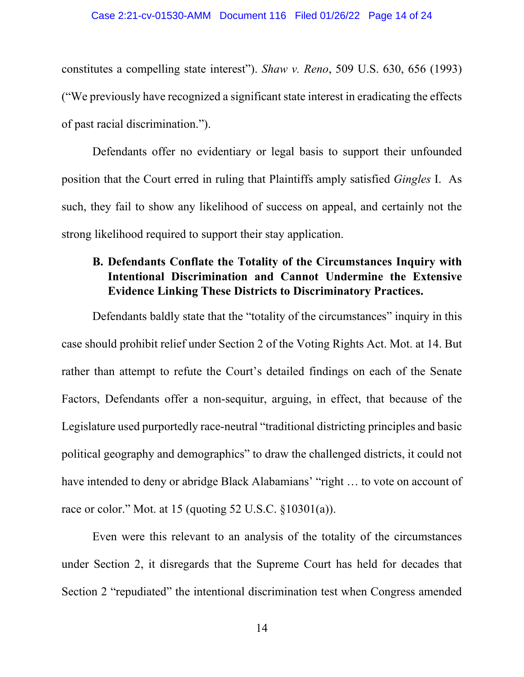constitutes a compelling state interest"). *Shaw v. Reno*, 509 U.S. 630, 656 (1993) ("We previously have recognized a significant state interest in eradicating the effects of past racial discrimination.").

Defendants offer no evidentiary or legal basis to support their unfounded position that the Court erred in ruling that Plaintiffs amply satisfied *Gingles* I. As such, they fail to show any likelihood of success on appeal, and certainly not the strong likelihood required to support their stay application.

# **B. Defendants Conflate the Totality of the Circumstances Inquiry with Intentional Discrimination and Cannot Undermine the Extensive Evidence Linking These Districts to Discriminatory Practices.**

Defendants baldly state that the "totality of the circumstances" inquiry in this case should prohibit relief under Section 2 of the Voting Rights Act. Mot. at 14. But rather than attempt to refute the Court's detailed findings on each of the Senate Factors, Defendants offer a non-sequitur, arguing, in effect, that because of the Legislature used purportedly race-neutral "traditional districting principles and basic political geography and demographics" to draw the challenged districts, it could not have intended to deny or abridge Black Alabamians' "right ... to vote on account of race or color." Mot. at 15 (quoting 52 U.S.C. §10301(a)).

Even were this relevant to an analysis of the totality of the circumstances under Section 2, it disregards that the Supreme Court has held for decades that Section 2 "repudiated" the intentional discrimination test when Congress amended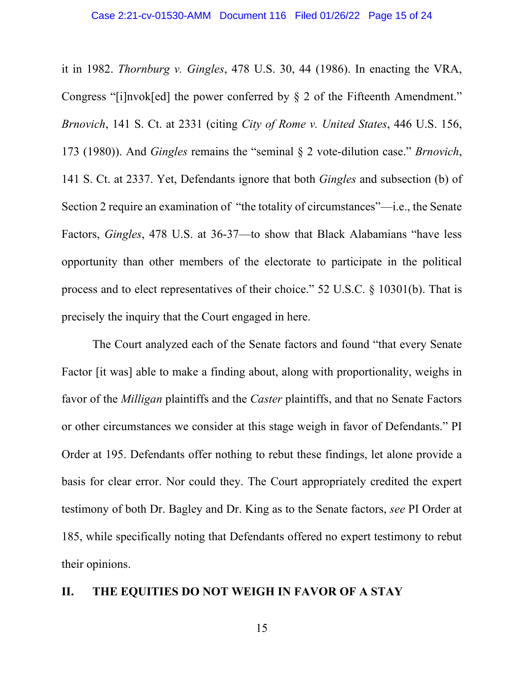it in 1982. *Thornburg v. Gingles*, 478 U.S. 30, 44 (1986). In enacting the VRA, Congress "[i]nvok[ed] the power conferred by § 2 of the Fifteenth Amendment." *Brnovich*, 141 S. Ct. at 2331 (citing *City of Rome v. United States*, 446 U.S. 156, 173 (1980)). And *Gingles* remains the "seminal § 2 vote-dilution case." *Brnovich*, 141 S. Ct. at 2337. Yet, Defendants ignore that both *Gingles* and subsection (b) of Section 2 require an examination of "the totality of circumstances"—i.e., the Senate Factors, *Gingles*, 478 U.S. at 36-37—to show that Black Alabamians "have less opportunity than other members of the electorate to participate in the political process and to elect representatives of their choice." 52 U.S.C. § 10301(b). That is precisely the inquiry that the Court engaged in here.

The Court analyzed each of the Senate factors and found "that every Senate Factor [it was] able to make a finding about, along with proportionality, weighs in favor of the *Milligan* plaintiffs and the *Caster* plaintiffs, and that no Senate Factors or other circumstances we consider at this stage weigh in favor of Defendants." PI Order at 195. Defendants offer nothing to rebut these findings, let alone provide a basis for clear error. Nor could they. The Court appropriately credited the expert testimony of both Dr. Bagley and Dr. King as to the Senate factors, *see* PI Order at 185, while specifically noting that Defendants offered no expert testimony to rebut their opinions.

## **II. THE EQUITIES DO NOT WEIGH IN FAVOR OF A STAY**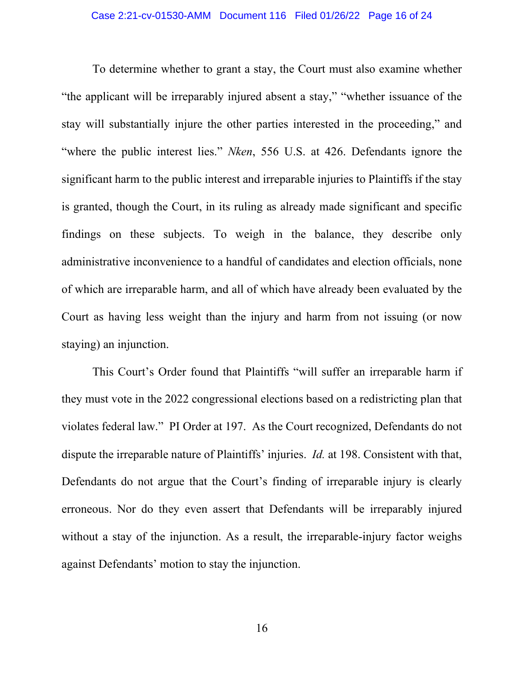To determine whether to grant a stay, the Court must also examine whether "the applicant will be irreparably injured absent a stay," "whether issuance of the stay will substantially injure the other parties interested in the proceeding," and "where the public interest lies." *Nken*, 556 U.S. at 426. Defendants ignore the significant harm to the public interest and irreparable injuries to Plaintiffs if the stay is granted, though the Court, in its ruling as already made significant and specific findings on these subjects. To weigh in the balance, they describe only administrative inconvenience to a handful of candidates and election officials, none of which are irreparable harm, and all of which have already been evaluated by the Court as having less weight than the injury and harm from not issuing (or now staying) an injunction.

This Court's Order found that Plaintiffs "will suffer an irreparable harm if they must vote in the 2022 congressional elections based on a redistricting plan that violates federal law." PI Order at 197. As the Court recognized, Defendants do not dispute the irreparable nature of Plaintiffs' injuries. *Id.* at 198. Consistent with that, Defendants do not argue that the Court's finding of irreparable injury is clearly erroneous. Nor do they even assert that Defendants will be irreparably injured without a stay of the injunction. As a result, the irreparable-injury factor weighs against Defendants' motion to stay the injunction.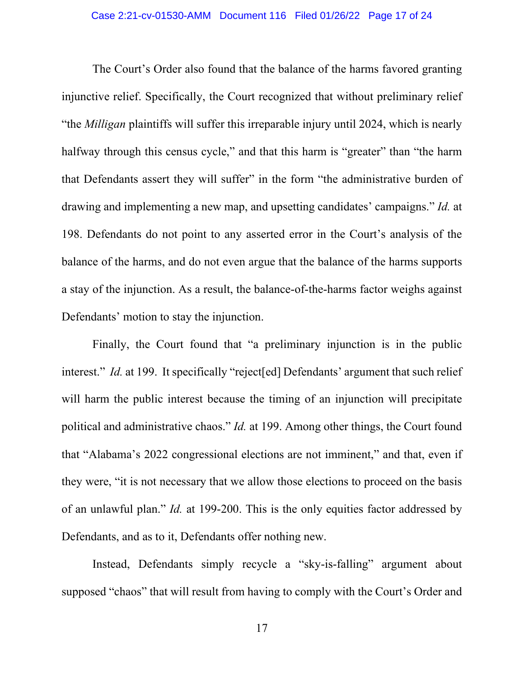The Court's Order also found that the balance of the harms favored granting injunctive relief. Specifically, the Court recognized that without preliminary relief "the *Milligan* plaintiffs will suffer this irreparable injury until 2024, which is nearly halfway through this census cycle," and that this harm is "greater" than "the harm that Defendants assert they will suffer" in the form "the administrative burden of drawing and implementing a new map, and upsetting candidates' campaigns." *Id.* at 198. Defendants do not point to any asserted error in the Court's analysis of the balance of the harms, and do not even argue that the balance of the harms supports a stay of the injunction. As a result, the balance-of-the-harms factor weighs against Defendants' motion to stay the injunction.

Finally, the Court found that "a preliminary injunction is in the public interest." *Id.* at 199. It specifically "reject [ed] Defendants' argument that such relief will harm the public interest because the timing of an injunction will precipitate political and administrative chaos." *Id.* at 199. Among other things, the Court found that "Alabama's 2022 congressional elections are not imminent," and that, even if they were, "it is not necessary that we allow those elections to proceed on the basis of an unlawful plan." *Id.* at 199-200. This is the only equities factor addressed by Defendants, and as to it, Defendants offer nothing new.

Instead, Defendants simply recycle a "sky-is-falling" argument about supposed "chaos" that will result from having to comply with the Court's Order and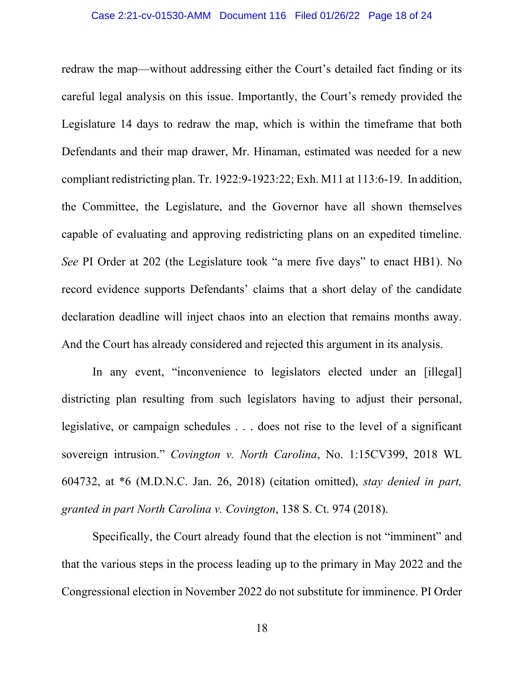redraw the map—without addressing either the Court's detailed fact finding or its careful legal analysis on this issue. Importantly, the Court's remedy provided the Legislature 14 days to redraw the map, which is within the timeframe that both Defendants and their map drawer, Mr. Hinaman, estimated was needed for a new compliant redistricting plan. Tr. 1922:9-1923:22; Exh. M11 at 113:6-19. In addition, the Committee, the Legislature, and the Governor have all shown themselves capable of evaluating and approving redistricting plans on an expedited timeline. *See* PI Order at 202 (the Legislature took "a mere five days" to enact HB1). No record evidence supports Defendants' claims that a short delay of the candidate declaration deadline will inject chaos into an election that remains months away. And the Court has already considered and rejected this argument in its analysis.

In any event, "inconvenience to legislators elected under an [illegal] districting plan resulting from such legislators having to adjust their personal, legislative, or campaign schedules . . . does not rise to the level of a significant sovereign intrusion." *Covington v. North Carolina*, No. 1:15CV399, 2018 WL 604732, at \*6 (M.D.N.C. Jan. 26, 2018) (citation omitted), *stay denied in part, granted in part North Carolina v. Covington*, 138 S. Ct. 974 (2018).

Specifically, the Court already found that the election is not "imminent" and that the various steps in the process leading up to the primary in May 2022 and the Congressional election in November 2022 do not substitute for imminence. PI Order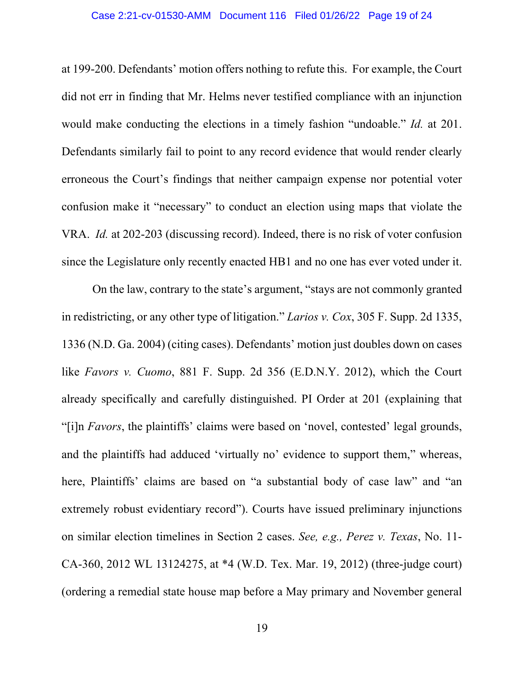### Case 2:21-cv-01530-AMM Document 116 Filed 01/26/22 Page 19 of 24

at 199-200. Defendants' motion offers nothing to refute this. For example, the Court did not err in finding that Mr. Helms never testified compliance with an injunction would make conducting the elections in a timely fashion "undoable." *Id.* at 201. Defendants similarly fail to point to any record evidence that would render clearly erroneous the Court's findings that neither campaign expense nor potential voter confusion make it "necessary" to conduct an election using maps that violate the VRA. *Id.* at 202-203 (discussing record). Indeed, there is no risk of voter confusion since the Legislature only recently enacted HB1 and no one has ever voted under it.

On the law, contrary to the state's argument, "stays are not commonly granted in redistricting, or any other type of litigation." *Larios v. Cox*, 305 F. Supp. 2d 1335, 1336 (N.D. Ga. 2004) (citing cases). Defendants' motion just doubles down on cases like *Favors v. Cuomo*, 881 F. Supp. 2d 356 (E.D.N.Y. 2012), which the Court already specifically and carefully distinguished. PI Order at 201 (explaining that "[i]n *Favors*, the plaintiffs' claims were based on 'novel, contested' legal grounds, and the plaintiffs had adduced 'virtually no' evidence to support them," whereas, here, Plaintiffs' claims are based on "a substantial body of case law" and "an extremely robust evidentiary record"). Courts have issued preliminary injunctions on similar election timelines in Section 2 cases. *See, e.g., Perez v. Texas*, No. 11- CA-360, 2012 WL 13124275, at \*4 (W.D. Tex. Mar. 19, 2012) (three-judge court) (ordering a remedial state house map before a May primary and November general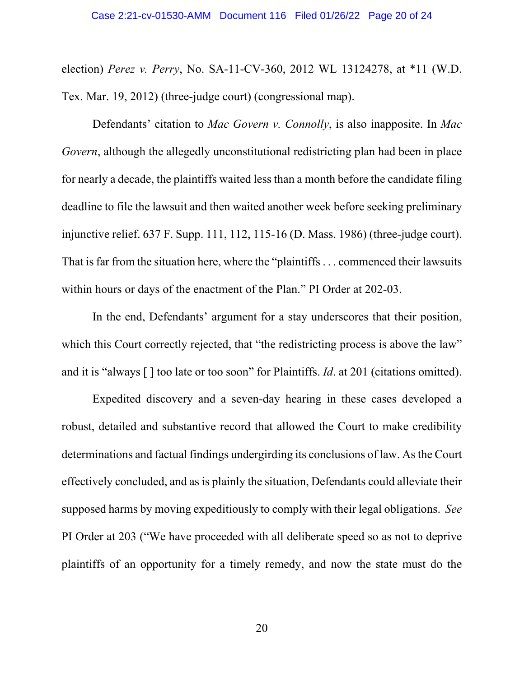election) *Perez v. Perry*, No. SA-11-CV-360, 2012 WL 13124278, at \*11 (W.D. Tex. Mar. 19, 2012) (three-judge court) (congressional map).

Defendants' citation to *Mac Govern v. Connolly*, is also inapposite. In *Mac Govern*, although the allegedly unconstitutional redistricting plan had been in place for nearly a decade, the plaintiffs waited less than a month before the candidate filing deadline to file the lawsuit and then waited another week before seeking preliminary injunctive relief. 637 F. Supp. 111, 112, 115-16 (D. Mass. 1986) (three-judge court). That is far from the situation here, where the "plaintiffs . . . commenced their lawsuits within hours or days of the enactment of the Plan." PI Order at 202-03.

In the end, Defendants' argument for a stay underscores that their position, which this Court correctly rejected, that "the redistricting process is above the law" and it is "always [ ] too late or too soon" for Plaintiffs. *Id*. at 201 (citations omitted).

Expedited discovery and a seven-day hearing in these cases developed a robust, detailed and substantive record that allowed the Court to make credibility determinations and factual findings undergirding its conclusions of law. As the Court effectively concluded, and as is plainly the situation, Defendants could alleviate their supposed harms by moving expeditiously to comply with their legal obligations. *See* PI Order at 203 ("We have proceeded with all deliberate speed so as not to deprive plaintiffs of an opportunity for a timely remedy, and now the state must do the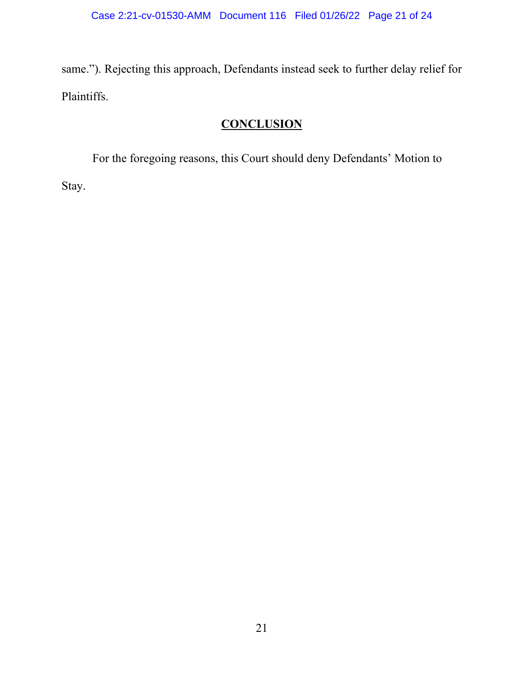same."). Rejecting this approach, Defendants instead seek to further delay relief for Plaintiffs.

# **CONCLUSION**

For the foregoing reasons, this Court should deny Defendants' Motion to Stay.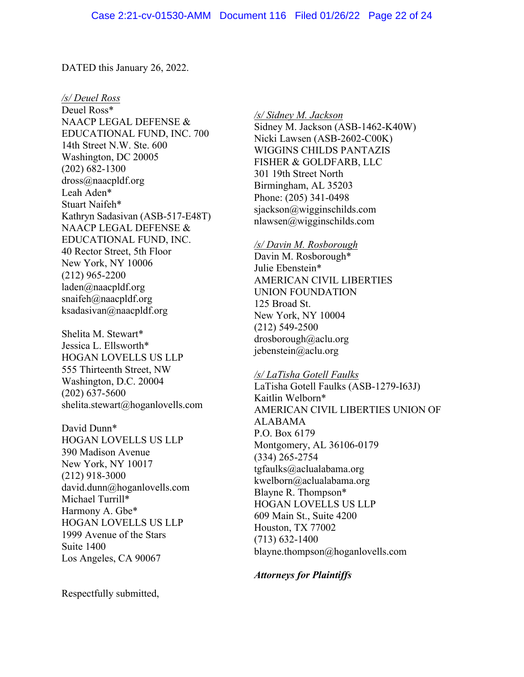DATED this January 26, 2022.

*/s/ Deuel Ross* Deuel Ross\* NAACP LEGAL DEFENSE & EDUCATIONAL FUND, INC. 700 14th Street N.W. Ste. 600 Washington, DC 20005 (202) 682-1300 dross@naacpldf.org Leah Aden\* Stuart Naifeh\* Kathryn Sadasivan (ASB-517-E48T) NAACP LEGAL DEFENSE & EDUCATIONAL FUND, INC. 40 Rector Street, 5th Floor New York, NY 10006 (212) 965-2200 laden@naacpldf.org snaifeh@naacpldf.org ksadasivan@naacpldf.org

Shelita M. Stewart\* Jessica L. Ellsworth\* HOGAN LOVELLS US LLP 555 Thirteenth Street, NW Washington, D.C. 20004 (202) 637-5600 shelita.stewart@hoganlovells.com

David Dunn\* HOGAN LOVELLS US LLP 390 Madison Avenue New York, NY 10017 (212) 918-3000 david.dunn@hoganlovells.com Michael Turrill\* Harmony A. Gbe\* HOGAN LOVELLS US LLP 1999 Avenue of the Stars Suite 1400 Los Angeles, CA 90067

*/s/ Sidney M. Jackson* Sidney M. Jackson (ASB-1462-K40W) Nicki Lawsen (ASB-2602-C00K) WIGGINS CHILDS PANTAZIS FISHER & GOLDFARB, LLC 301 19th Street North Birmingham, AL 35203 Phone: (205) 341-0498 sjackson@wigginschilds.com nlawsen@wigginschilds.com

#### */s/ Davin M. Rosborough*

Davin M. Rosborough\* Julie Ebenstein\* AMERICAN CIVIL LIBERTIES UNION FOUNDATION 125 Broad St. New York, NY 10004 (212) 549-2500 drosborough@aclu.org jebenstein@aclu.org

## */s/ LaTisha Gotell Faulks*

LaTisha Gotell Faulks (ASB-1279-I63J) Kaitlin Welborn\* AMERICAN CIVIL LIBERTIES UNION OF ALABAMA P.O. Box 6179 Montgomery, AL 36106-0179 (334) 265-2754 tgfaulks@aclualabama.org kwelborn@aclualabama.org Blayne R. Thompson\* HOGAN LOVELLS US LLP 609 Main St., Suite 4200 Houston, TX 77002 (713) 632-1400 blayne.thompson@hoganlovells.com

### *Attorneys for Plaintiffs*

Respectfully submitted,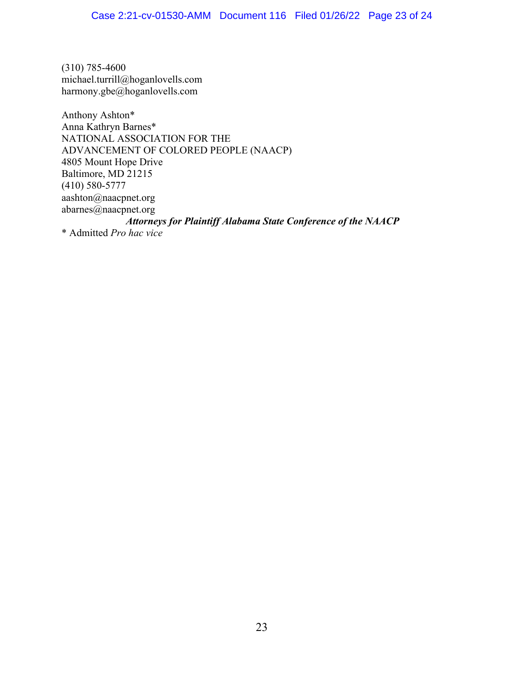(310) 785-4600 michael.turrill@hoganlovells.com harmony.gbe@hoganlovells.com

Anthony Ashton\* Anna Kathryn Barnes\* NATIONAL ASSOCIATION FOR THE ADVANCEMENT OF COLORED PEOPLE (NAACP) 4805 Mount Hope Drive Baltimore, MD 21215 (410) 580-5777 aashton@naacpnet.org abarnes@naacpnet.org *Attorneys for Plaintiff Alabama State Conference of the NAACP* \* Admitted *Pro hac vice*